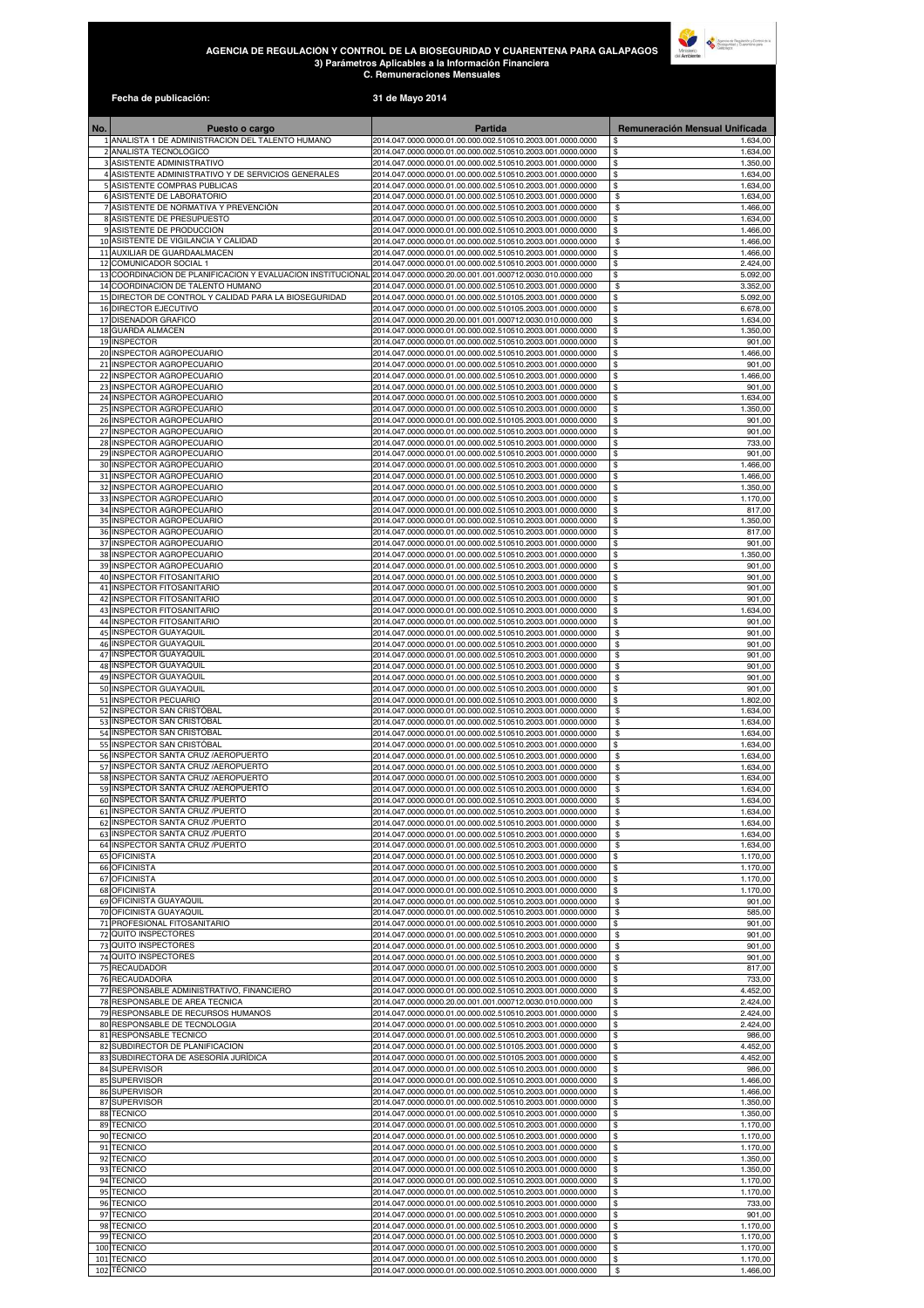## **AGENCIA DE REGULACIÓN Y CONTROL DE LA BIOSEGURIDAD Y CUARENTENA PARA GALAPAGOS 3) Parámetros Aplicables a la Información Financiera C. Remuneraciones Mensuales**



|            | Fecha de publicación:                                                                  | 31 de Mayo 2014                                                                                                          |                                   |
|------------|----------------------------------------------------------------------------------------|--------------------------------------------------------------------------------------------------------------------------|-----------------------------------|
| No.        | Puesto o cargo                                                                         | Partida                                                                                                                  | Remuneración Mensual Unificada    |
|            | 1 ANALISTA 1 DE ADMINISTRACION DEL TALENTO HUMANO                                      | 2014.047.0000.0000.01.00.000.002.510510.2003.001.0000.0000                                                               | 1.634,00                          |
|            | 2 ANALISTA TECNOLOGICO<br>3 ASISTENTE ADMINISTRATIVO                                   | 2014.047.0000.0000.01.00.000.002.510510.2003.001.0000.0000<br>2014.047.0000.0000.01.00.000.002.510510.2003.001.0000.0000 | 1.634,00<br>\$<br>\$<br>1.350,00  |
|            | 4 ASISTENTE ADMINISTRATIVO Y DE SERVICIOS GENERALES                                    | 2014.047.0000.0000.01.00.000.002.510510.2003.001.0000.0000                                                               | \$<br>1.634,00                    |
|            | 5 ASISTENTE COMPRAS PUBLICAS<br>6 ASISTENTE DE LABORATORIO                             | 2014.047.0000.0000.01.00.000.002.510510.2003.001.0000.0000<br>2014.047.0000.0000.01.00.000.002.510510.2003.001.0000.0000 | \$<br>1.634,00<br>\$<br>1.634,00  |
|            | 7 ASISTENTE DE NORMATIVA Y PREVENCIÓN                                                  | 2014.047.0000.0000.01.00.000.002.510510.2003.001.0000.0000                                                               | \$<br>1.466,00                    |
|            | 8 ASISTENTE DE PRESUPUESTO                                                             | 2014.047.0000.0000.01.00.000.002.510510.2003.001.0000.0000                                                               | \$<br>1.634,00                    |
|            | 9 ASISTENTE DE PRODUCCION<br>10 ASISTENTE DE VIGILANCIA Y CALIDAD                      | 2014.047.0000.0000.01.00.000.002.510510.2003.001.0000.0000<br>2014.047.0000.0000.01.00.000.002.510510.2003.001.0000.0000 | \$<br>1.466,00<br>\$<br>1.466,00  |
|            | 11 AUXILIAR DE GUARDAALMACEN                                                           | 2014.047.0000.0000.01.00.000.002.510510.2003.001.0000.0000                                                               | \$<br>1.466,00                    |
|            | 12 COMUNICADOR SOCIAL 1<br>13 COORDINACION DE PLANIFICACION Y EVALUACION INSTITUCIONAL | 2014.047.0000.0000.01.00.000.002.510510.2003.001.0000.0000<br>2014.047.0000.0000.20.00.001.001.000712.0030.010.0000.000  | \$<br>2.424,00<br>\$<br>5.092,00  |
|            | 14 COORDINACION DE TALENTO HUMANO                                                      | 2014.047.0000.0000.01.00.000.002.510510.2003.001.0000.0000                                                               | \$<br>3.352,00                    |
|            | 15 DIRECTOR DE CONTROL Y CALIDAD PARA LA BIOSEGURIDAD<br>16 DIRECTOR EJECUTIVO         | 2014.047.0000.0000.01.00.000.002.510105.2003.001.0000.0000<br>2014.047.0000.0000.01.00.000.002.510105.2003.001.0000.0000 | \$<br>5.092,00<br>\$<br>6.678,00  |
|            | 17 DISENADOR GRAFICO                                                                   | 2014.047.0000.0000.20.00.001.001.000712.0030.010.0000.000                                                                | \$<br>1.634,00                    |
|            | 18 GUARDA ALMACEN<br>19 INSPECTOR                                                      | 2014.047.0000.0000.01.00.000.002.510510.2003.001.0000.0000<br>2014.047.0000.0000.01.00.000.002.510510.2003.001.0000.0000 | \$<br>1.350,00<br>\$<br>901,00    |
|            | 20 INSPECTOR AGROPECUARIO                                                              | 2014.047.0000.0000.01.00.000.002.510510.2003.001.0000.0000                                                               | \$<br>1.466,00                    |
|            | 21 INSPECTOR AGROPECUARIO<br>22 INSPECTOR AGROPECUARIO                                 | 2014.047.0000.0000.01.00.000.002.510510.2003.001.0000.0000<br>2014.047.0000.0000.01.00.000.002.510510.2003.001.0000.0000 | \$<br>901,00<br>1.466,00<br>\$    |
|            | 23 INSPECTOR AGROPECUARIO                                                              | 2014.047.0000.0000.01.00.000.002.510510.2003.001.0000.0000                                                               | \$<br>901,00                      |
|            | 24 INSPECTOR AGROPECUARIO<br>25 INSPECTOR AGROPECUARIO                                 | 2014.047.0000.0000.01.00.000.002.510510.2003.001.0000.0000<br>2014.047.0000.0000.01.00.000.002.510510.2003.001.0000.0000 | \$<br>1.634,00<br>\$<br>1.350,00  |
|            | 26 INSPECTOR AGROPECUARIO                                                              | 2014.047.0000.0000.01.00.000.002.510105.2003.001.0000.0000                                                               | \$<br>901,00                      |
|            | 27 INSPECTOR AGROPECUARIO<br>28 INSPECTOR AGROPECUARIO                                 | 2014.047.0000.0000.01.00.000.002.510510.2003.001.0000.0000<br>2014.047.0000.0000.01.00.000.002.510510.2003.001.0000.0000 | 901,00<br>\$<br>733,00<br>\$      |
|            | 29 INSPECTOR AGROPECUARIO                                                              | 2014.047.0000.0000.01.00.000.002.510510.2003.001.0000.0000                                                               | \$<br>901,00                      |
|            | 30 INSPECTOR AGROPECUARIO                                                              | 2014.047.0000.0000.01.00.000.002.510510.2003.001.0000.0000                                                               | \$<br>1.466,00                    |
|            | 31 INSPECTOR AGROPECUARIO<br>32 INSPECTOR AGROPECUARIO                                 | 2014.047.0000.0000.01.00.000.002.510510.2003.001.0000.0000<br>2014.047.0000.0000.01.00.000.002.510510.2003.001.0000.0000 | \$<br>1.466,00<br>\$<br>1.350,00  |
|            | 33 INSPECTOR AGROPECUARIO                                                              | 2014.047.0000.0000.01.00.000.002.510510.2003.001.0000.0000                                                               | \$<br>1.170,00                    |
|            | 34 INSPECTOR AGROPECUARIO<br>35 INSPECTOR AGROPECUARIO                                 | 2014.047.0000.0000.01.00.000.002.510510.2003.001.0000.0000<br>2014.047.0000.0000.01.00.000.002.510510.2003.001.0000.0000 | \$<br>817,00<br>\$<br>1.350,00    |
|            | 36 INSPECTOR AGROPECUARIO                                                              | 2014.047.0000.0000.01.00.000.002.510510.2003.001.0000.0000                                                               | \$<br>817,00                      |
|            | 37 INSPECTOR AGROPECUARIO<br>38 INSPECTOR AGROPECUARIO                                 | 2014.047.0000.0000.01.00.000.002.510510.2003.001.0000.0000<br>2014.047.0000.0000.01.00.000.002.510510.2003.001.0000.0000 | 901,00<br>\$<br>\$<br>1.350,00    |
|            | 39 INSPECTOR AGROPECUARIO                                                              | 2014.047.0000.0000.01.00.000.002.510510.2003.001.0000.0000                                                               | \$<br>901,00                      |
|            | 40 INSPECTOR FITOSANITARIO<br>41 INSPECTOR FITOSANITARIO                               | 2014.047.0000.0000.01.00.000.002.510510.2003.001.0000.0000<br>2014.047.0000.0000.01.00.000.002.510510.2003.001.0000.0000 | \$<br>901,00<br>\$<br>901,00      |
|            | 42 INSPECTOR FITOSANITARIO                                                             | 2014.047.0000.0000.01.00.000.002.510510.2003.001.0000.0000                                                               | 901,00<br>\$                      |
|            | 43 INSPECTOR FITOSANITARIO                                                             | 2014.047.0000.0000.01.00.000.002.510510.2003.001.0000.0000                                                               | 1.634,00<br>\$                    |
|            | 44 INSPECTOR FITOSANITARIO<br>45 INSPECTOR GUAYAQUIL                                   | 2014.047.0000.0000.01.00.000.002.510510.2003.001.0000.0000<br>2014.047.0000.0000.01.00.000.002.510510.2003.001.0000.0000 | \$<br>901,00<br>901,00<br>\$      |
|            | 46 INSPECTOR GUAYAQUIL                                                                 | 2014.047.0000.0000.01.00.000.002.510510.2003.001.0000.0000                                                               | \$<br>901,00                      |
|            | 47 INSPECTOR GUAYAQUIL<br>48 INSPECTOR GUAYAQUIL                                       | 2014.047.0000.0000.01.00.000.002.510510.2003.001.0000.0000<br>2014.047.0000.0000.01.00.000.002.510510.2003.001.0000.0000 | \$<br>901,00<br>\$<br>901,00      |
|            | 49 INSPECTOR GUAYAQUIL                                                                 | 2014.047.0000.0000.01.00.000.002.510510.2003.001.0000.0000                                                               | \$<br>901,00                      |
|            | 50 INSPECTOR GUAYAQUIL<br>51 INSPECTOR PECUARIO                                        | 2014.047.0000.0000.01.00.000.002.510510.2003.001.0000.0000<br>2014.047.0000.0000.01.00.000.002.510510.2003.001.0000.0000 | \$<br>901,00<br>\$<br>1.802,00    |
|            | 52 INSPECTOR SAN CRISTOBAL                                                             | 2014.047.0000.0000.01.00.000.002.510510.2003.001.0000.0000                                                               | \$<br>1.634,00                    |
|            | 53 INSPECTOR SAN CRISTÓBAL<br>54 INSPECTOR SAN CRISTOBAL                               | 2014.047.0000.0000.01.00.000.002.510510.2003.001.0000.0000<br>2014.047.0000.0000.01.00.000.002.510510.2003.001.0000.0000 | \$<br>1.634,00<br>\$<br>1.634,00  |
|            | 55 INSPECTOR SAN CRISTÓBAL                                                             | 2014.047.0000.0000.01.00.000.002.510510.2003.001.0000.0000                                                               | \$<br>1.634,00                    |
|            | 56 INSPECTOR SANTA CRUZ / AEROPUERTO<br>57 INSPECTOR SANTA CRUZ / AEROPUERTO           | 2014.047.0000.0000.01.00.000.002.510510.2003.001.0000.0000<br>2014.047.0000.0000.01.00.000.002.510510.2003.001.0000.0000 | \$<br>1.634,00<br>\$<br>1.634,00  |
|            | 58 INSPECTOR SANTA CRUZ / AEROPUERTO                                                   | 2014.047.0000.0000.01.00.000.002.510510.2003.001.0000.0000                                                               | \$<br>1.634,00                    |
|            | 59 INSPECTOR SANTA CRUZ / AEROPUERTO<br>60 INSPECTOR SANTA CRUZ /PUERTO                | 2014.047.0000.0000.01.00.000.002.510510.2003.001.0000.0000<br>2014.047.0000.0000.01.00.000.002.510510.2003.001.0000.0000 | \$<br>1.634,00<br>\$<br>1.634,00  |
|            | 61 INSPECTOR SANTA CRUZ /PUERTO                                                        | 2014.047.0000.0000.01.00.000.002.510510.2003.001.0000.0000                                                               | \$<br>1.634,00                    |
|            | 62 INSPECTOR SANTA CRUZ /PUERTO<br>63 INSPECTOR SANTA CRUZ /PUERTO                     | 2014.047.0000.0000.01.00.000.002.510510.2003.001.0000.0000<br>2014.047.0000.0000.01.00.000.002.510510.2003.001.0000.0000 | \$<br>1.634,00<br>\$<br>1.634,00  |
|            | 64 INSPECTOR SANTA CRUZ /PUERTO                                                        | 2014.047.0000.0000.01.00.000.002.510510.2003.001.0000.0000                                                               | \$<br>1.634,00                    |
|            | 65 OFICINISTA<br><b>66 OFICINISTA</b>                                                  | 2014.047.0000.0000.01.00.000.002.510510.2003.001.0000.0000                                                               | \$<br>1.170,00<br>\$<br>1.170,00  |
|            | 67 OFICINISTA                                                                          | 2014.047.0000.0000.01.00.000.002.510510.2003.001.0000.0000<br>2014.047.0000.0000.01.00.000.002.510510.2003.001.0000.0000 | \$<br>1.170,00                    |
|            | 68 OFICINISTA                                                                          | 2014.047.0000.0000.01.00.000.002.510510.2003.001.0000.0000                                                               | \$<br>1.170,00                    |
|            | 69 OFICINISTA GUAYAQUIL<br>70 OFICINISTA GUAYAQUIL                                     | 2014.047.0000.0000.01.00.000.002.510510.2003.001.0000.0000<br>2014.047.0000.0000.01.00.000.002.510510.2003.001.0000.0000 | \$<br>901,00<br>\$<br>585,00      |
|            | 71 PROFESIONAL FITOSANITARIO                                                           | 2014.047.0000.0000.01.00.000.002.510510.2003.001.0000.0000                                                               | \$<br>901,00                      |
|            | 72 QUITO INSPECTORES<br>73 QUITO INSPECTORES                                           | 2014.047.0000.0000.01.00.000.002.510510.2003.001.0000.0000<br>2014.047.0000.0000.01.00.000.002.510510.2003.001.0000.0000 | 901,00<br>\$<br>\$<br>901,00      |
|            | 74 QUITO INSPECTORES                                                                   | 2014.047.0000.0000.01.00.000.002.510510.2003.001.0000.0000                                                               | \$<br>901,00                      |
|            | 75 RECAUDADOR<br>76 RECAUDADORA                                                        | 2014.047.0000.0000.01.00.000.002.510510.2003.001.0000.0000<br>2014.047.0000.0000.01.00.000.002.510510.2003.001.0000.0000 | \$<br>817,00<br>\$<br>733,00      |
|            | 77 RESPONSABLE ADMINISTRATIVO, FINANCIERO                                              | 2014.047.0000.0000.01.00.000.002.510510.2003.001.0000.0000                                                               | \$<br>4.452,00                    |
|            | 78 RESPONSABLE DE AREA TECNICA<br>79 RESPONSABLE DE RECURSOS HUMANOS                   | 2014.047.0000.0000.20.00.001.001.000712.0030.010.0000.000<br>2014.047.0000.0000.01.00.000.002.510510.2003.001.0000.0000  | \$<br>2.424,00<br>\$<br>2.424,00  |
|            | 80 RESPONSABLE DE TECNOLOGIA                                                           | 2014.047.0000.0000.01.00.000.002.510510.2003.001.0000.0000                                                               | \$<br>2.424,00                    |
|            | 81 RESPONSABLE TECNICO                                                                 | 2014.047.0000.0000.01.00.000.002.510510.2003.001.0000.0000                                                               | \$<br>986,00                      |
| 83         | 82 SUBDIRECTOR DE PLANIFICACION<br>SUBDIRECTORA DE ASESORÍA JURÍDICA                   | 2014.047.0000.0000.01.00.000.002.510105.2003.001.0000.0000<br>2014.047.0000.0000.01.00.000.002.510105.2003.001.0000.0000 | \$<br>4.452,00<br>\$<br>4.452,00  |
|            | 84 SUPERVISOR                                                                          | 2014.047.0000.0000.01.00.000.002.510510.2003.001.0000.0000                                                               | \$<br>986,00                      |
| 86         | 85 SUPERVISOR<br><b>SUPERVISOR</b>                                                     | 2014.047.0000.0000.01.00.000.002.510510.2003.001.0000.0000<br>2014.047.0000.0000.01.00.000.002.510510.2003.001.0000.0000 | \$<br>1.466,00<br>\$<br>1.466,00  |
|            | 87 SUPERVISOR                                                                          | 2014.047.0000.0000.01.00.000.002.510510.2003.001.0000.0000                                                               | \$<br>1.350,00                    |
| 88         | <b>TECNICO</b><br>89 TECNICO                                                           | 2014.047.0000.0000.01.00.000.002.510510.2003.001.0000.0000<br>2014.047.0000.0000.01.00.000.002.510510.2003.001.0000.0000 | \$<br>1.350,00<br>\$<br>1.170,00  |
|            | 90 TECNICO                                                                             | 2014.047.0000.0000.01.00.000.002.510510.2003.001.0000.0000                                                               | \$<br>1.170,00                    |
|            | 91 TECNICO<br>92 TECNICO                                                               | 2014.047.0000.0000.01.00.000.002.510510.2003.001.0000.0000<br>2014.047.0000.0000.01.00.000.002.510510.2003.001.0000.0000 | \$<br>1.170,00<br>1.350,00<br>\$. |
| 93         | <b>TECNICO</b>                                                                         | 2014.047.0000.0000.01.00.000.002.510510.2003.001.0000.0000                                                               | \$<br>1.350,00                    |
|            | 94 TECNICO<br>95 TECNICO                                                               | 2014.047.0000.0000.01.00.000.002.510510.2003.001.0000.0000<br>2014.047.0000.0000.01.00.000.002.510510.2003.001.0000.0000 | \$<br>1.170,00<br>\$<br>1.170,00  |
|            | 96 TECNICO                                                                             | 2014.047.0000.0000.01.00.000.002.510510.2003.001.0000.0000                                                               | \$<br>733,00                      |
|            | 97 TECNICO<br>98 TECNICO                                                               | 2014.047.0000.0000.01.00.000.002.510510.2003.001.0000.0000<br>2014.047.0000.0000.01.00.000.002.510510.2003.001.0000.0000 | \$<br>901,00<br>\$<br>1.170,00    |
|            | 99 TECNICO                                                                             | 2014.047.0000.0000.01.00.000.002.510510.2003.001.0000.0000                                                               | \$<br>1.170,00                    |
|            | 100 TECNICO                                                                            | 2014.047.0000.0000.01.00.000.002.510510.2003.001.0000.0000                                                               | \$<br>1.170,00                    |
| 101<br>102 | <b>TECNICO</b><br><b>TÉCNICO</b>                                                       | 2014.047.0000.0000.01.00.000.002.510510.2003.001.0000.0000<br>2014.047.0000.0000.01.00.000.002.510510.2003.001.0000.0000 | \$<br>1.170,00<br>\$<br>1.466,00  |